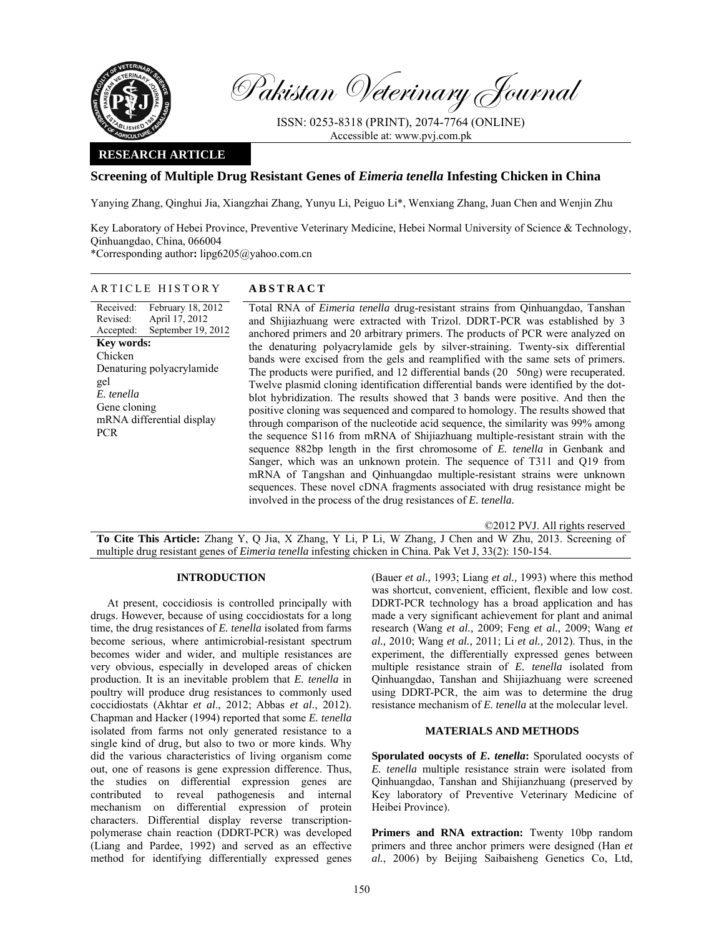

Pakistan Veterinary Journal

ISSN: 0253-8318 (PRINT), 2074-7764 (ONLINE) Accessible at: www.pvj.com.pk

### **RESEARCH ARTICLE**

## **Screening of Multiple Drug Resistant Genes of** *Eimeria tenella* **Infesting Chicken in China**

Yanying Zhang, Qinghui Jia, Xiangzhai Zhang, Yunyu Li, Peiguo Li\*, Wenxiang Zhang, Juan Chen and Wenjin Zhu

Key Laboratory of Hebei Province, Preventive Veterinary Medicine, Hebei Normal University of Science & Technology, Qinhuangdao, China, 066004

\*Corresponding author**:** lipg6205@yahoo.com.cn

Received: Revised: Accepted: February 18, 2012 April 17, 2012 September 19, 2012 **Key words:**  Chicken Denaturing polyacrylamide gel *E. tenella*  Gene cloning mRNA differential display PCR

# ARTICLE HISTORY **ABSTRACT**

 Total RNA of *Eimeria tenella* drug-resistant strains from Qinhuangdao, Tanshan and Shijiazhuang were extracted with Trizol. DDRT-PCR was established by 3 anchored primers and 20 arbitrary primers. The products of PCR were analyzed on the denaturing polyacrylamide gels by silver-straining. Twenty-six differential bands were excised from the gels and reamplified with the same sets of primers. The products were purified, and 12 differential bands (20 50ng) were recuperated. Twelve plasmid cloning identification differential bands were identified by the dotblot hybridization. The results showed that 3 bands were positive. And then the positive cloning was sequenced and compared to homology. The results showed that through comparison of the nucleotide acid sequence, the similarity was 99% among the sequence S116 from mRNA of Shijiazhuang multiple-resistant strain with the sequence 882bp length in the first chromosome of *E. tenella* in Genbank and Sanger, which was an unknown protein. The sequence of T311 and Q19 from mRNA of Tangshan and Qinhuangdao multiple-resistant strains were unknown sequences. These novel cDNA fragments associated with drug resistance might be involved in the process of the drug resistances of *E. tenella.*

©2012 PVJ. All rights reserved

**To Cite This Article:** Zhang Y, Q Jia, X Zhang, Y Li, P Li, W Zhang, J Chen and W Zhu, 2013. Screening of multiple drug resistant genes of *Eimeria tenella* infesting chicken in China. Pak Vet J, 33(2): 150-154.

### **INTRODUCTION**

At present, coccidiosis is controlled principally with drugs. However, because of using coccidiostats for a long time, the drug resistances of *E. tenella* isolated from farms become serious, where antimicrobial-resistant spectrum becomes wider and wider, and multiple resistances are very obvious, especially in developed areas of chicken production. It is an inevitable problem that *E. tenella* in poultry will produce drug resistances to commonly used coccidiostats (Akhtar *et al*., 2012; Abbas *et al*., 2012). Chapman and Hacker (1994) reported that some *E. tenella* isolated from farms not only generated resistance to a single kind of drug, but also to two or more kinds. Why did the various characteristics of living organism come out, one of reasons is gene expression difference. Thus, the studies on differential expression genes are contributed to reveal pathogenesis and internal mechanism on differential expression of protein characters. Differential display reverse transcriptionpolymerase chain reaction (DDRT-PCR) was developed (Liang and Pardee, 1992) and served as an effective method for identifying differentially expressed genes

(Bauer *et al.,* 1993; Liang *et al.,* 1993) where this method was shortcut, convenient, efficient, flexible and low cost. DDRT-PCR technology has a broad application and has made a very significant achievement for plant and animal research (Wang *et al.,* 2009; Feng *et al.,* 2009; Wang *et al.,* 2010; Wang *et al.,* 2011; Li *et al.,* 2012). Thus, in the experiment, the differentially expressed genes between multiple resistance strain of *E. tenella* isolated from Qinhuangdao, Tanshan and Shijiazhuang were screened using DDRT-PCR, the aim was to determine the drug resistance mechanism of *E. tenella* at the molecular level.

### **MATERIALS AND METHODS**

**Sporulated oocysts of** *E. tenella***:** Sporulated oocysts of *E. tenella* multiple resistance strain were isolated from Qinhuangdao, Tanshan and Shijianzhuang (preserved by Key laboratory of Preventive Veterinary Medicine of Heibei Province).

Primers and RNA extraction: Twenty 10bp random primers and three anchor primers were designed (Han *et al.*, 2006) by Beijing Saibaisheng Genetics Co, Ltd,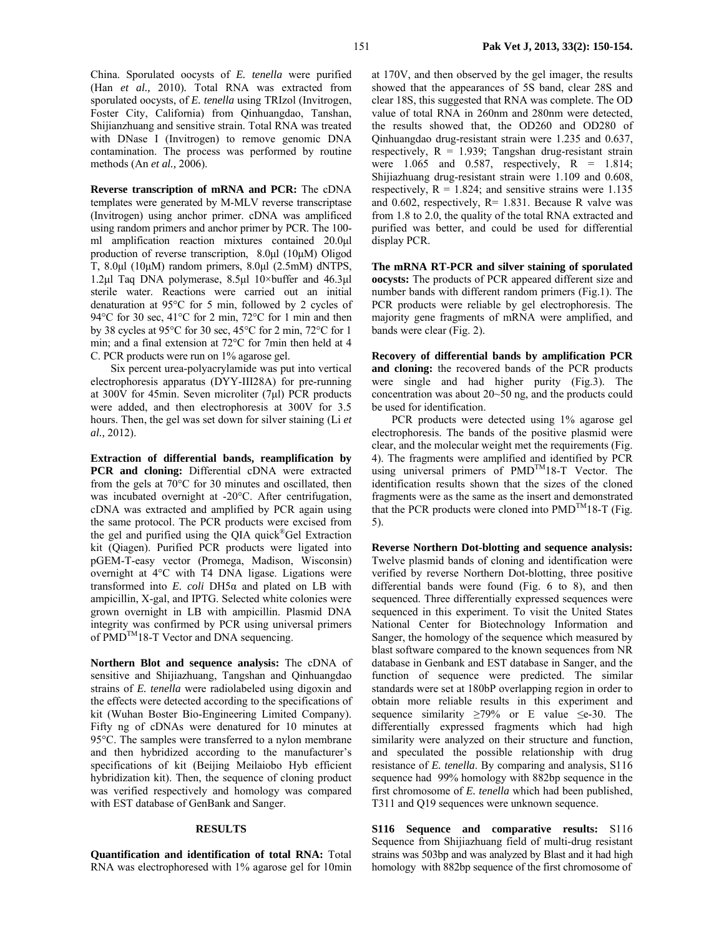China. Sporulated oocysts of *E. tenella* were purified (Han *et al.,* 2010)*.* Total RNA was extracted from sporulated oocysts, of *E. tenella* using TRIzol (Invitrogen, Foster City, California) from Qinhuangdao, Tanshan, Shijianzhuang and sensitive strain. Total RNA was treated with DNase I (Invitrogen) to remove genomic DNA contamination. The process was performed by routine methods (An *et al.,* 2006).

**Reverse transcription of mRNA and PCR:** The cDNA templates were generated by M-MLV reverse transcriptase (Invitrogen) using anchor primer. cDNA was amplificed using random primers and anchor primer by PCR. The 100 ml amplification reaction mixtures contained 20.0µl production of reverse transcription, 8.0µl (10µM) Oligod T, 8.0µl (10µM) random primers, 8.0µl (2.5mM) dNTPS, 1.2µl Taq DNA polymerase, 8.5µl 10×buffer and 46.3µl sterile water. Reactions were carried out an initial denaturation at 95°C for 5 min, followed by 2 cycles of 94°C for 30 sec, 41°C for 2 min, 72°C for 1 min and then by 38 cycles at 95°C for 30 sec, 45°C for 2 min, 72°C for 1 min; and a final extension at 72°C for 7min then held at 4 C. PCR products were run on 1% agarose gel.

 Six percent urea-polyacrylamide was put into vertical electrophoresis apparatus (DYY-III28A) for pre-running at 300V for 45min. Seven microliter (7µl) PCR products were added, and then electrophoresis at 300V for 3.5 hours. Then, the gel was set down for silver staining (Li *et al.,* 2012).

**Extraction of differential bands, reamplification by PCR** and cloning: Differential cDNA were extracted from the gels at 70°C for 30 minutes and oscillated, then was incubated overnight at -20°C. After centrifugation, cDNA was extracted and amplified by PCR again using the same protocol. The PCR products were excised from the gel and purified using the QIA quick®Gel Extraction kit (Qiagen). Purified PCR products were ligated into pGEM-T-easy vector (Promega, Madison, Wisconsin) overnight at 4°C with T4 DNA ligase. Ligations were transformed into *E. coli* DH5α and plated on LB with ampicillin, X-gal, and IPTG. Selected white colonies were grown overnight in LB with ampicillin. Plasmid DNA integrity was confirmed by PCR using universal primers of PMD<sup>TM</sup>18-T Vector and DNA sequencing.

**Northern Blot and sequence analysis:** The cDNA of sensitive and Shijiazhuang, Tangshan and Qinhuangdao strains of *E. tenella* were radiolabeled using digoxin and the effects were detected according to the specifications of kit (Wuhan Boster Bio-Engineering Limited Company). Fifty ng of cDNAs were denatured for 10 minutes at 95°C. The samples were transferred to a nylon membrane and then hybridized according to the manufacturer's specifications of kit (Beijing Meilaiobo Hyb efficient hybridization kit). Then, the sequence of cloning product was verified respectively and homology was compared with EST database of GenBank and Sanger.

#### **RESULTS**

**Quantification and identification of total RNA:** Total RNA was electrophoresed with 1% agarose gel for 10min

at 170V, and then observed by the gel imager, the results showed that the appearances of 5S band, clear 28S and clear 18S, this suggested that RNA was complete. The OD value of total RNA in 260nm and 280nm were detected, the results showed that, the OD260 and OD280 of Qinhuangdao drug-resistant strain were 1.235 and 0.637, respectively,  $R = 1.939$ ; Tangshan drug-resistant strain were  $1.065$  and  $0.587$ , respectively,  $R = 1.814$ ; Shijiazhuang drug-resistant strain were 1.109 and 0.608, respectively,  $R = 1.824$ ; and sensitive strains were 1.135 and 0.602, respectively,  $R = 1.831$ . Because R valve was from 1.8 to 2.0, the quality of the total RNA extracted and purified was better, and could be used for differential display PCR.

**The mRNA RT-PCR and silver staining of sporulated oocysts:** The products of PCR appeared different size and number bands with different random primers (Fig.1). The PCR products were reliable by gel electrophoresis. The majority gene fragments of mRNA were amplified, and bands were clear (Fig. 2).

**Recovery of differential bands by amplification PCR and cloning:** the recovered bands of the PCR products were single and had higher purity (Fig.3). The concentration was about 20~50 ng, and the products could be used for identification.

 PCR products were detected using 1% agarose gel electrophoresis. The bands of the positive plasmid were clear, and the molecular weight met the requirements (Fig. 4). The fragments were amplified and identified by PCR using universal primers of PMD<sup>TM</sup>18-T Vector. The identification results shown that the sizes of the cloned fragments were as the same as the insert and demonstrated that the PCR products were cloned into  $PMD^{TM}18-T$  (Fig. 5).

**Reverse Northern Dot-blotting and sequence analysis:**  Twelve plasmid bands of cloning and identification were verified by reverse Northern Dot-blotting, three positive differential bands were found (Fig. 6 to 8), and then sequenced. Three differentially expressed sequences were sequenced in this experiment. To visit the United States National Center for Biotechnology Information and Sanger, the homology of the sequence which measured by blast software compared to the known sequences from NR database in Genbank and EST database in Sanger, and the function of sequence were predicted. The similar standards were set at 180bP overlapping region in order to obtain more reliable results in this experiment and sequence similarity  $\geq 79\%$  or E value  $\leq e$ -30. The differentially expressed fragments which had high similarity were analyzed on their structure and function, and speculated the possible relationship with drug resistance of *E. tenella*. By comparing and analysis, S116 sequence had 99% homology with 882bp sequence in the first chromosome of *E. tenella* which had been published, T311 and Q19 sequences were unknown sequence.

**S116 Sequence and comparative results:** S116 Sequence from Shijiazhuang field of multi-drug resistant strains was 503bp and was analyzed by Blast and it had high homology with 882bp sequence of the first chromosome of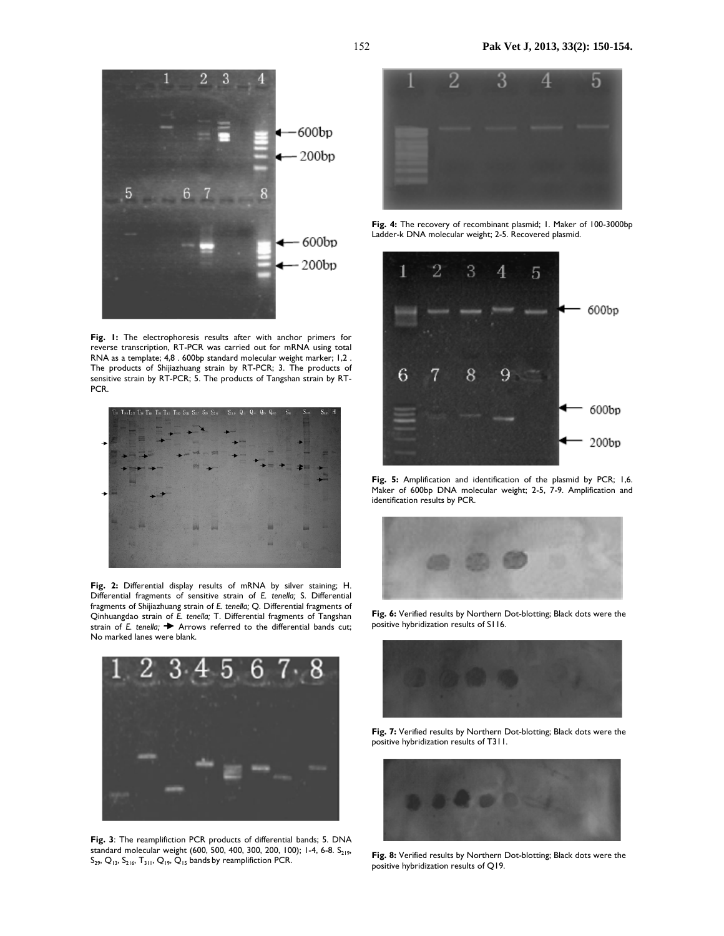

**Fig. 1:** The electrophoresis results after with anchor primers for reverse transcription, RT-PCR was carried out for mRNA using total RNA as a template; 4,8 . 600bp standard molecular weight marker; 1,2 . The products of Shijiazhuang strain by RT-PCR; 3. The products of sensitive strain by RT-PCR; 5. The products of Tangshan strain by RT-PCR.



**Fig. 2:** Differential display results of mRNA by silver staining; H. Differential fragments of sensitive strain of *E. tenella;* S. Differential fragments of Shijiazhuang strain of *E. tenella;* Q. Differential fragments of Qinhuangdao strain of *E. tenella;* T. Differential fragments of Tangshan strain of *E. tenella*;  $\rightarrow$  Arrows referred to the differential bands cut; No marked lanes were blank.



**Fig. 3**: The reamplifiction PCR products of differential bands; 5. DNA standard molecular weight (600, 500, 400, 300, 200, 100); 1-4, 6-8. S<sub>219</sub>,  $S_{29}$ ,  $Q_{13}$ ,  $S_{216}$ ,  $T_{311}$ ,  $Q_{19}$ ,  $Q_{15}$  bands by reamplifiction PCR.



**Fig. 4:** The recovery of recombinant plasmid; 1. Maker of 100-3000bp Ladder-k DNA molecular weight; 2-5. Recovered plasmid.



**Fig. 5:** Amplification and identification of the plasmid by PCR; 1,6. Maker of 600bp DNA molecular weight; 2-5, 7-9. Amplification and identification results by PCR.



**Fig. 6:** Verified results by Northern Dot-blotting; Black dots were the positive hybridization results of S116.



**Fig. 7:** Verified results by Northern Dot-blotting; Black dots were the positive hybridization results of T311.



**Fig. 8:** Verified results by Northern Dot-blotting; Black dots were the positive hybridization results of Q19.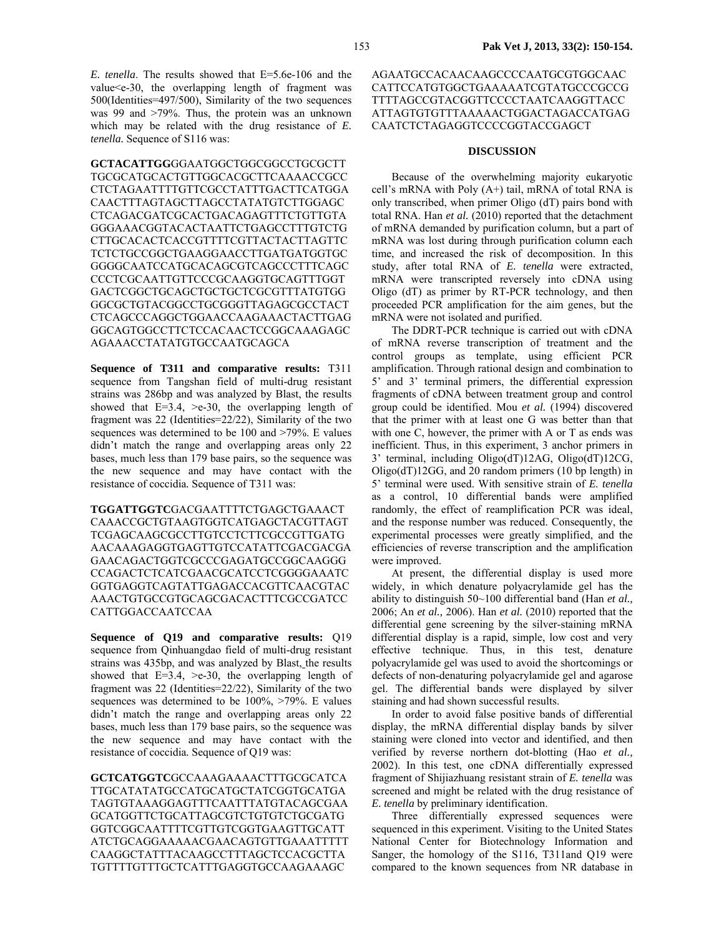*E. tenella*. The results showed that E=5.6e-106 and the value<e-30, the overlapping length of fragment was 500(Identities=497/500), Similarity of the two sequences was 99 and >79%. Thus, the protein was an unknown which may be related with the drug resistance of *E. tenella.* Sequence of S116 was:

**GCTACATTGG**GGAATGGCTGGCGGCCTGCGCTT TGCGCATGCACTGTTGGCACGCTTCAAAACCGCC CTCTAGAATTTTGTTCGCCTATTTGACTTCATGGA CAACTTTAGTAGCTTAGCCTATATGTCTTGGAGC CTCAGACGATCGCACTGACAGAGTTTCTGTTGTA GGGAAACGGTACACTAATTCTGAGCCTTTGTCTG CTTGCACACTCACCGTTTTCGTTACTACTTAGTTC TCTCTGCCGGCTGAAGGAACCTTGATGATGGTGC GGGGCAATCCATGCACAGCGTCAGCCCTTTCAGC CCCTCGCAATTGTTCCCGCAAGGTGCAGTTTGGT GACTCGGCTGCAGCTGCTGCTCGCGTTTATGTGG GGCGCTGTACGGCCTGCGGGTTAGAGCGCCTACT CTCAGCCCAGGCTGGAACCAAGAAACTACTTGAG GGCAGTGGCCTTCTCCACAACTCCGGCAAAGAGC AGAAACCTATATGTGCCAATGCAGCA

**Sequence of T311 and comparative results:** T311 sequence from Tangshan field of multi-drug resistant strains was 286bp and was analyzed by Blast, the results showed that  $E=3.4$ ,  $\geq e-30$ , the overlapping length of fragment was 22 (Identities=22/22), Similarity of the two sequences was determined to be 100 and >79%. E values didn't match the range and overlapping areas only 22 bases, much less than 179 base pairs, so the sequence was the new sequence and may have contact with the resistance of coccidia*.* Sequence of T311 was:

**TGGATTGGTC**GACGAATTTTCTGAGCTGAAACT CAAACCGCTGTAAGTGGTCATGAGCTACGTTAGT TCGAGCAAGCGCCTTGTCCTCTTCGCCGTTGATG AACAAAGAGGTGAGTTGTCCATATTCGACGACGA GAACAGACTGGTCGCCCGAGATGCCGGCAAGGG CCAGACTCTCATCGAACGCATCCTCGGGGAAATC GGTGAGGTCAGTATTGAGACCACGTTCAACGTAC AAACTGTGCCGTGCAGCGACACTTTCGCCGATCC CATTGGACCAATCCAA

**Sequence of Q19 and comparative results:** Q19 sequence from Qinhuangdao field of multi-drug resistant strains was 435bp, and was analyzed by Blast, the results showed that  $E=3.4$ ,  $\geq e-30$ , the overlapping length of fragment was 22 (Identities=22/22), Similarity of the two sequences was determined to be 100%, >79%. E values didn't match the range and overlapping areas only 22 bases, much less than 179 base pairs, so the sequence was the new sequence and may have contact with the resistance of coccidia*.* Sequence of Q19 was:

**GCTCATGGTC**GCCAAAGAAAACTTTGCGCATCA TTGCATATATGCCATGCATGCTATCGGTGCATGA TAGTGTAAAGGAGTTTCAATTTATGTACAGCGAA GCATGGTTCTGCATTAGCGTCTGTGTCTGCGATG GGTCGGCAATTTTCGTTGTCGGTGAAGTTGCATT ATCTGCAGGAAAAACGAACAGTGTTGAAATTTTT CAAGGCTATTTACAAGCCTTTAGCTCCACGCTTA TGTTTTGTTTGCTCATTTGAGGTGCCAAGAAAGC

#### AGAATGCCACAACAAGCCCCAATGCGTGGCAAC CATTCCATGTGGCTGAAAAATCGTATGCCCGCCG TTTTAGCCGTACGGTTCCCCTAATCAAGGTTACC ATTAGTGTGTTTAAAAACTGGACTAGACCATGAG CAATCTCTAGAGGTCCCCGGTACCGAGCT

#### **DISCUSSION**

Because of the overwhelming majority eukaryotic cell's mRNA with Poly  $(A+)$  tail, mRNA of total RNA is only transcribed, when primer Oligo (dT) pairs bond with total RNA. Han *et al.* (2010) reported that the detachment of mRNA demanded by purification column, but a part of mRNA was lost during through purification column each time, and increased the risk of decomposition. In this study, after total RNA of *E. tenella* were extracted, mRNA were transcripted reversely into cDNA using Oligo (dT) as primer by RT-PCR technology, and then proceeded PCR amplification for the aim genes, but the mRNA were not isolated and purified.

The DDRT-PCR technique is carried out with cDNA of mRNA reverse transcription of treatment and the control groups as template, using efficient PCR amplification. Through rational design and combination to 5' and 3' terminal primers, the differential expression fragments of cDNA between treatment group and control group could be identified. Mou *et al.* (1994) discovered that the primer with at least one G was better than that with one C, however, the primer with A or T as ends was inefficient. Thus, in this experiment, 3 anchor primers in 3' terminal, including Oligo(dT)12AG, Oligo(dT)12CG, Oligo(dT)12GG, and 20 random primers (10 bp length) in 5' terminal were used. With sensitive strain of *E. tenella* as a control, 10 differential bands were amplified randomly, the effect of reamplification PCR was ideal, and the response number was reduced. Consequently, the experimental processes were greatly simplified, and the efficiencies of reverse transcription and the amplification were improved.

At present, the differential display is used more widely, in which denature polyacrylamide gel has the ability to distinguish 50~100 differential band (Han *et al.,* 2006; An *et al.,* 2006). Han *et al.* (2010) reported that the differential gene screening by the silver-staining mRNA differential display is a rapid, simple, low cost and very effective technique. Thus, in this test, denature polyacrylamide gel was used to avoid the shortcomings or defects of non-denaturing polyacrylamide gel and agarose gel. The differential bands were displayed by silver staining and had shown successful results.

In order to avoid false positive bands of differential display, the mRNA differential display bands by silver staining were cloned into vector and identified, and then verified by reverse northern dot-blotting (Hao *et al.,* 2002). In this test, one cDNA differentially expressed fragment of Shijiazhuang resistant strain of *E. tenella* was screened and might be related with the drug resistance of *E. tenella* by preliminary identification.

Three differentially expressed sequences were sequenced in this experiment. Visiting to the United States National Center for Biotechnology Information and Sanger, the homology of the S116, T311and Q19 were compared to the known sequences from NR database in